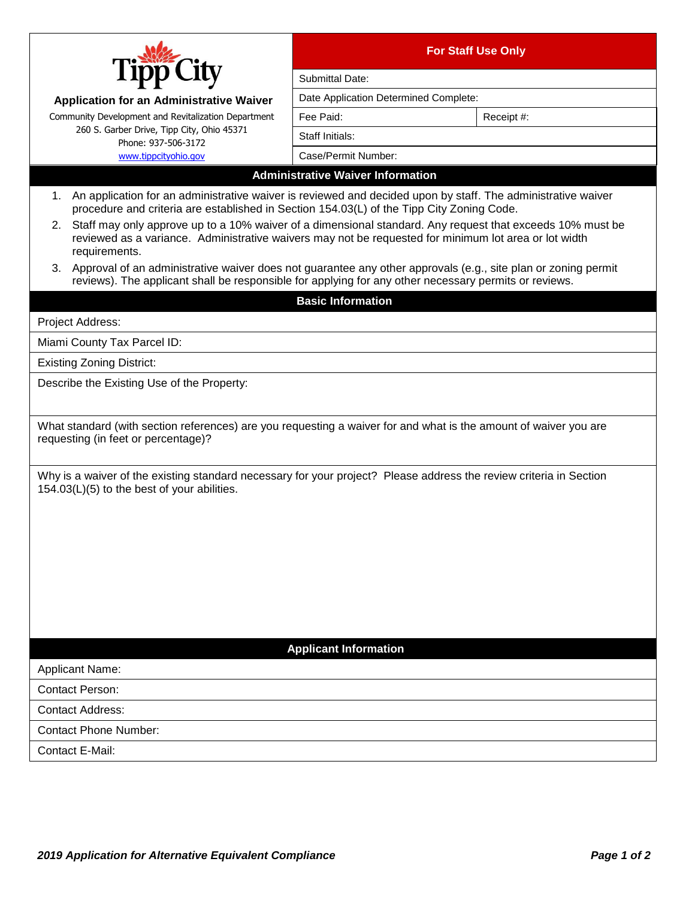|                                                                                                                                                                                                                                                                                                                                                                                                                                                                                                                                                                                                                                                                                     | <b>For Staff Use Only</b>                |  |
|-------------------------------------------------------------------------------------------------------------------------------------------------------------------------------------------------------------------------------------------------------------------------------------------------------------------------------------------------------------------------------------------------------------------------------------------------------------------------------------------------------------------------------------------------------------------------------------------------------------------------------------------------------------------------------------|------------------------------------------|--|
|                                                                                                                                                                                                                                                                                                                                                                                                                                                                                                                                                                                                                                                                                     | Submittal Date:                          |  |
| <b>Application for an Administrative Waiver</b>                                                                                                                                                                                                                                                                                                                                                                                                                                                                                                                                                                                                                                     | Date Application Determined Complete:    |  |
| Community Development and Revitalization Department                                                                                                                                                                                                                                                                                                                                                                                                                                                                                                                                                                                                                                 | Fee Paid:<br>Receipt #:                  |  |
| 260 S. Garber Drive, Tipp City, Ohio 45371<br>Phone: 937-506-3172                                                                                                                                                                                                                                                                                                                                                                                                                                                                                                                                                                                                                   | Staff Initials:                          |  |
| www.tippcityohio.gov                                                                                                                                                                                                                                                                                                                                                                                                                                                                                                                                                                                                                                                                | Case/Permit Number:                      |  |
|                                                                                                                                                                                                                                                                                                                                                                                                                                                                                                                                                                                                                                                                                     | <b>Administrative Waiver Information</b> |  |
| 1. An application for an administrative waiver is reviewed and decided upon by staff. The administrative waiver<br>procedure and criteria are established in Section 154.03(L) of the Tipp City Zoning Code.<br>2. Staff may only approve up to a 10% waiver of a dimensional standard. Any request that exceeds 10% must be<br>reviewed as a variance. Administrative waivers may not be requested for minimum lot area or lot width<br>requirements.<br>3. Approval of an administrative waiver does not guarantee any other approvals (e.g., site plan or zoning permit<br>reviews). The applicant shall be responsible for applying for any other necessary permits or reviews. |                                          |  |
|                                                                                                                                                                                                                                                                                                                                                                                                                                                                                                                                                                                                                                                                                     | <b>Basic Information</b>                 |  |
| Project Address:                                                                                                                                                                                                                                                                                                                                                                                                                                                                                                                                                                                                                                                                    |                                          |  |
|                                                                                                                                                                                                                                                                                                                                                                                                                                                                                                                                                                                                                                                                                     |                                          |  |
| Miami County Tax Parcel ID:                                                                                                                                                                                                                                                                                                                                                                                                                                                                                                                                                                                                                                                         |                                          |  |
| <b>Existing Zoning District:</b>                                                                                                                                                                                                                                                                                                                                                                                                                                                                                                                                                                                                                                                    |                                          |  |
| Describe the Existing Use of the Property:                                                                                                                                                                                                                                                                                                                                                                                                                                                                                                                                                                                                                                          |                                          |  |
| What standard (with section references) are you requesting a waiver for and what is the amount of waiver you are<br>requesting (in feet or percentage)?                                                                                                                                                                                                                                                                                                                                                                                                                                                                                                                             |                                          |  |
| Why is a waiver of the existing standard necessary for your project? Please address the review criteria in Section<br>154.03(L)(5) to the best of your abilities.                                                                                                                                                                                                                                                                                                                                                                                                                                                                                                                   |                                          |  |
|                                                                                                                                                                                                                                                                                                                                                                                                                                                                                                                                                                                                                                                                                     | <b>Applicant Information</b>             |  |
| <b>Applicant Name:</b>                                                                                                                                                                                                                                                                                                                                                                                                                                                                                                                                                                                                                                                              |                                          |  |
| <b>Contact Person:</b>                                                                                                                                                                                                                                                                                                                                                                                                                                                                                                                                                                                                                                                              |                                          |  |
| <b>Contact Address:</b>                                                                                                                                                                                                                                                                                                                                                                                                                                                                                                                                                                                                                                                             |                                          |  |
| <b>Contact Phone Number:</b>                                                                                                                                                                                                                                                                                                                                                                                                                                                                                                                                                                                                                                                        |                                          |  |
| Contact E-Mail:                                                                                                                                                                                                                                                                                                                                                                                                                                                                                                                                                                                                                                                                     |                                          |  |